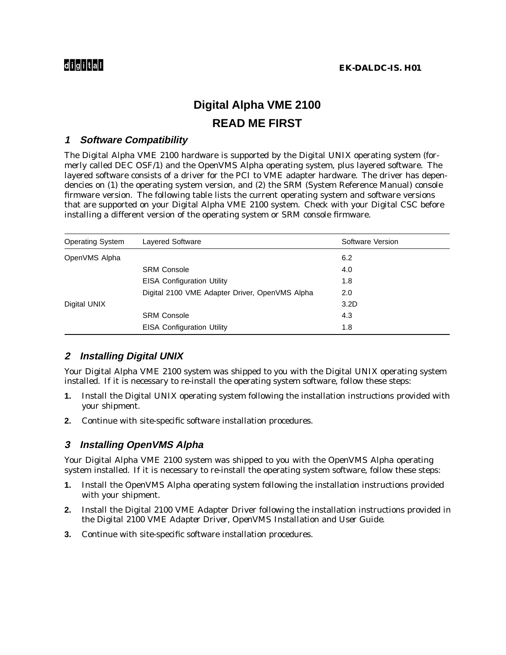# **Digital Alpha VME 2100 READ ME FIRST**

### **1 Software Compatibility**

The Digital Alpha VME 2100 hardware is supported by the Digital UNIX operating system (formerly called DEC OSF/1) and the OpenVMS Alpha operating system, plus layered software. The layered software consists of a driver for the PCI to VME adapter hardware. The driver has dependencies on (1) the operating system version, and (2) the SRM (System Reference Manual) console firmware version. The following table lists the current operating system and software versions that are supported on your Digital Alpha VME 2100 system. Check with your Digital CSC before installing a different version of the operating system or SRM console firmware.

| <b>Operating System</b> | Layered Software                               | Software Version |
|-------------------------|------------------------------------------------|------------------|
| OpenVMS Alpha           |                                                | 6.2              |
|                         | <b>SRM Console</b>                             | 4.0              |
|                         | <b>EISA Configuration Utility</b>              | 1.8              |
|                         | Digital 2100 VME Adapter Driver, OpenVMS Alpha | 2.0              |
| Digital UNIX            |                                                | 3.2D             |
|                         | <b>SRM Console</b>                             | 4.3              |
|                         | <b>EISA Configuration Utility</b>              | 1.8              |

# **2 Installing Digital UNIX**

Your Digital Alpha VME 2100 system was shipped to you with the Digital UNIX operating system installed. If it is necessary to re-install the operating system software, follow these steps:

- **1.** Install the Digital UNIX operating system following the installation instructions provided with your shipment.
- **2.** Continue with site-specific software installation procedures.

## **3 Installing OpenVMS Alpha**

Your Digital Alpha VME 2100 system was shipped to you with the OpenVMS Alpha operating system installed. If it is necessary to re-install the operating system software, follow these steps:

- **1.** Install the OpenVMS Alpha operating system following the installation instructions provided with your shipment.
- **2.** Install the Digital 2100 VME Adapter Driver following the installation instructions provided in the *Digital 2100 VME Adapter Driver, OpenVMS Installation* and *User Guide*.
- **3.** Continue with site-specific software installation procedures.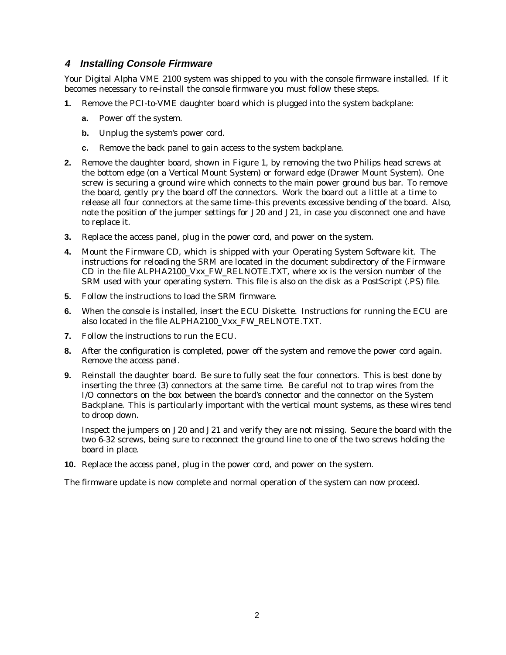### **4 Installing Console Firmware**

Your Digital Alpha VME 2100 system was shipped to you with the console firmware installed. If it becomes necessary to re-install the console firmware you must follow these steps.

- **1.** Remove the PCI-to-VME daughter board which is plugged into the system backplane:
	- **a.** Power off the system.
	- **b.** Unplug the system's power cord.
	- **c.** Remove the back panel to gain access to the system backplane.
- **2.** Remove the daughter board, shown in Figure 1, by removing the two Philips head screws at the bottom edge (on a Vertical Mount System) or forward edge (Drawer Mount System). One screw is securing a ground wire which connects to the main power ground bus bar. To remove the board, gently pry the board off the connectors. Work the board out a little at a time to release all four connectors at the same time–this prevents excessive bending of the board. Also, note the position of the jumper settings for J20 and J21, in case you disconnect one and have to replace it.
- **3.** Replace the access panel, plug in the power cord, and power on the system.
- **4.** Mount the Firmware CD, which is shipped with your Operating System Software kit. The instructions for reloading the SRM are located in the document subdirectory of the Firmware CD in the file ALPHA2100\_Vxx\_FW\_RELNOTE.TXT, where *xx* is the version number of the SRM used with your operating system. This file is also on the disk as a PostScript (.PS) file.
- **5.** Follow the instructions to load the SRM firmware.
- **6.** When the console is installed, insert the ECU Diskette. Instructions for running the ECU are also located in the file ALPHA2100\_Vxx\_FW\_RELNOTE.TXT.
- **7.** Follow the instructions to run the ECU.
- **8.** After the configuration is completed, power off the system and remove the power cord again. Remove the access panel.
- **9.** Reinstall the daughter board. Be sure to fully seat the four connectors. This is best done by inserting the three (3) connectors at the same time. Be careful not to trap wires from the I/O connectors on the box between the board's connector and the connector on the System Backplane. This is particularly important with the vertical mount systems, as these wires tend to droop down.

Inspect the jumpers on J20 and J21 and verify they are not missing. Secure the board with the two 6-32 screws, being sure to reconnect the ground line to one of the two screws holding the board in place.

**10.** Replace the access panel, plug in the power cord, and power on the system.

The firmware update is now complete and normal operation of the system can now proceed.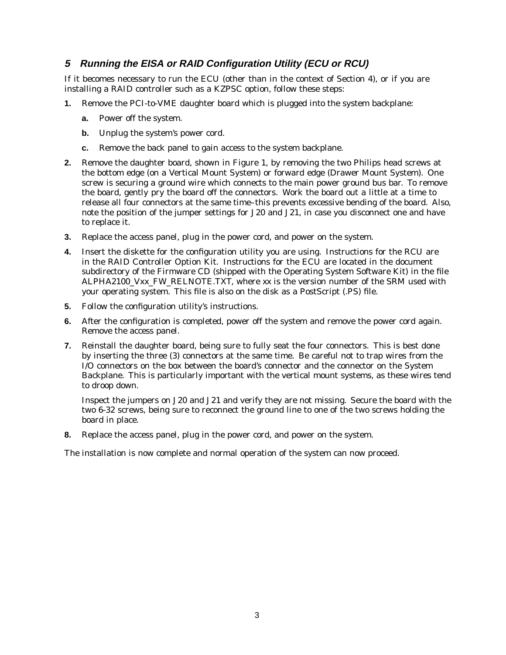# **5 Running the EISA or RAID Configuration Utility (ECU or RCU)**

If it becomes necessary to run the ECU (other than in the context of Section 4), or if you are installing a RAID controller such as a KZPSC option, follow these steps:

- **1.** Remove the PCI-to-VME daughter board which is plugged into the system backplane:
	- **a.** Power off the system.
	- **b.** Unplug the system's power cord.
	- **c.** Remove the back panel to gain access to the system backplane.
- **2.** Remove the daughter board, shown in Figure 1, by removing the two Philips head screws at the bottom edge (on a Vertical Mount System) or forward edge (Drawer Mount System). One screw is securing a ground wire which connects to the main power ground bus bar. To remove the board, gently pry the board off the connectors. Work the board out a little at a time to release all four connectors at the same time–this prevents excessive bending of the board. Also, note the position of the jumper settings for J20 and J21, in case you disconnect one and have to replace it.
- **3.** Replace the access panel, plug in the power cord, and power on the system.
- **4.** Insert the diskette for the configuration utility you are using. Instructions for the RCU are in the RAID Controller Option Kit. Instructions for the ECU are located in the document subdirectory of the Firmware CD (shipped with the Operating System Software Kit) in the file ALPHA2100\_Vxx\_FW\_RELNOTE.TXT, where *xx* is the version number of the SRM used with your operating system. This file is also on the disk as a PostScript (.PS) file.
- **5.** Follow the configuration utility's instructions.
- **6.** After the configuration is completed, power off the system and remove the power cord again. Remove the access panel.
- **7.** Reinstall the daughter board, being sure to fully seat the four connectors. This is best done by inserting the three (3) connectors at the same time. Be careful not to trap wires from the I/O connectors on the box between the board's connector and the connector on the System Backplane. This is particularly important with the vertical mount systems, as these wires tend to droop down.

Inspect the jumpers on J20 and J21 and verify they are not missing. Secure the board with the two 6-32 screws, being sure to reconnect the ground line to one of the two screws holding the board in place.

**8.** Replace the access panel, plug in the power cord, and power on the system.

The installation is now complete and normal operation of the system can now proceed.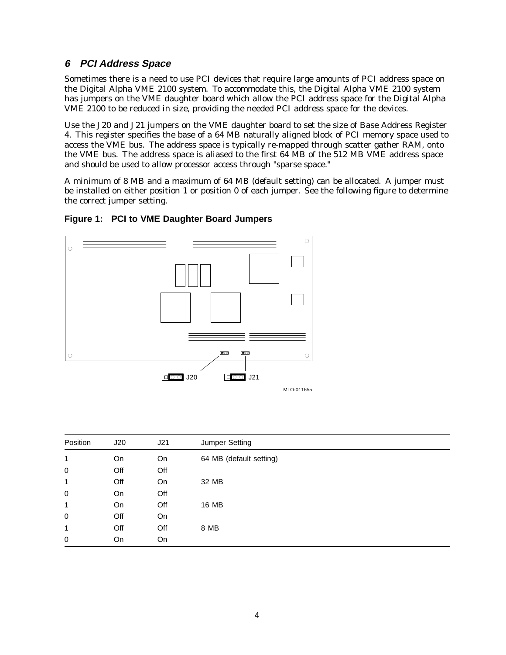# **6 PCI Address Space**

Sometimes there is a need to use PCI devices that require large amounts of PCI address space on the Digital Alpha VME 2100 system. To accommodate this, the Digital Alpha VME 2100 system has jumpers on the VME daughter board which allow the PCI address space for the Digital Alpha VME 2100 to be reduced in size, providing the needed PCI address space for the devices.

Use the J20 and J21 jumpers on the VME daughter board to set the size of Base Address Register 4. This register specifies the base of a 64 MB naturally aligned block of PCI memory space used to access the VME bus. The address space is typically re-mapped through scatter gather RAM, onto the VME bus. The address space is aliased to the first 64 MB of the 512 MB VME address space and should be used to allow processor access through "sparse space."

A minimum of 8 MB and a maximum of 64 MB (default setting) can be allocated. A jumper must be installed on either position 1 or position 0 of each jumper. See the following figure to determine the correct jumper setting.



#### **Figure 1: PCI to VME Daughter Board Jumpers**

| Position     | J20 | J21 | Jumper Setting          |
|--------------|-----|-----|-------------------------|
| 1            | On  | On  | 64 MB (default setting) |
| 0            | Off | Off |                         |
| 1            | Off | On  | 32 MB                   |
| 0            | On  | Off |                         |
| 1            | On  | Off | 16 MB                   |
| $\mathbf 0$  | Off | On  |                         |
| $\mathbf{1}$ | Off | Off | 8 MB                    |
| 0            | On  | On  |                         |